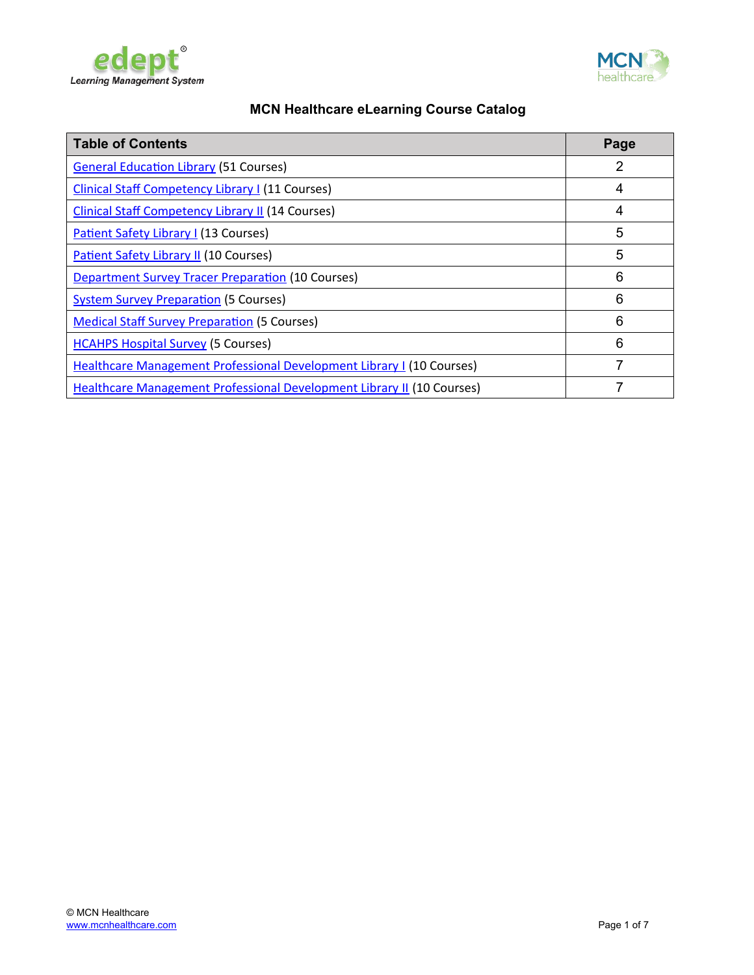



| <b>Table of Contents</b>                                                      | Page |
|-------------------------------------------------------------------------------|------|
| <b>General Education Library (51 Courses)</b>                                 | 2    |
| <b>Clinical Staff Competency Library I (11 Courses)</b>                       | 4    |
| <b>Clinical Staff Competency Library II (14 Courses)</b>                      | 4    |
| <b>Patient Safety Library I (13 Courses)</b>                                  | 5    |
| <b>Patient Safety Library II (10 Courses)</b>                                 | 5    |
| <b>Department Survey Tracer Preparation (10 Courses)</b>                      | 6    |
| <b>System Survey Preparation (5 Courses)</b>                                  | 6    |
| <b>Medical Staff Survey Preparation (5 Courses)</b>                           | 6    |
| <b>HCAHPS Hospital Survey (5 Courses)</b>                                     | 6    |
| <b>Healthcare Management Professional Development Library I (10 Courses)</b>  | 7    |
| <b>Healthcare Management Professional Development Library II (10 Courses)</b> |      |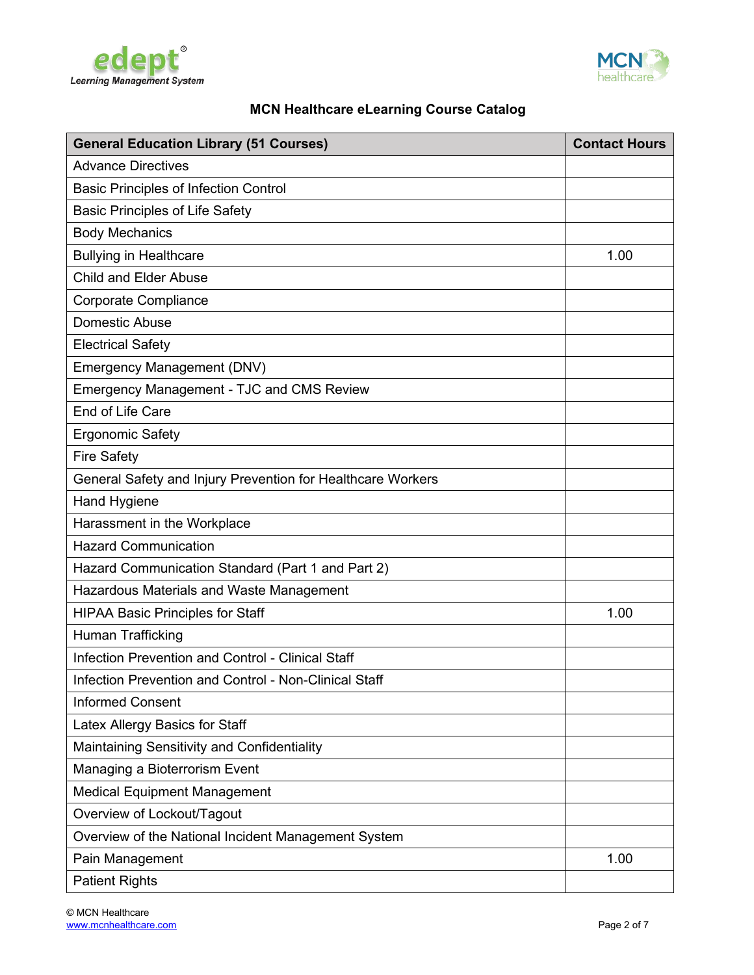



<span id="page-1-0"></span>

| <b>General Education Library (51 Courses)</b>               | <b>Contact Hours</b> |
|-------------------------------------------------------------|----------------------|
| <b>Advance Directives</b>                                   |                      |
| <b>Basic Principles of Infection Control</b>                |                      |
| <b>Basic Principles of Life Safety</b>                      |                      |
| <b>Body Mechanics</b>                                       |                      |
| <b>Bullying in Healthcare</b>                               | 1.00                 |
| <b>Child and Elder Abuse</b>                                |                      |
| <b>Corporate Compliance</b>                                 |                      |
| Domestic Abuse                                              |                      |
| <b>Electrical Safety</b>                                    |                      |
| <b>Emergency Management (DNV)</b>                           |                      |
| <b>Emergency Management - TJC and CMS Review</b>            |                      |
| End of Life Care                                            |                      |
| <b>Ergonomic Safety</b>                                     |                      |
| <b>Fire Safety</b>                                          |                      |
| General Safety and Injury Prevention for Healthcare Workers |                      |
| Hand Hygiene                                                |                      |
| Harassment in the Workplace                                 |                      |
| <b>Hazard Communication</b>                                 |                      |
| Hazard Communication Standard (Part 1 and Part 2)           |                      |
| Hazardous Materials and Waste Management                    |                      |
| <b>HIPAA Basic Principles for Staff</b>                     | 1.00                 |
| <b>Human Trafficking</b>                                    |                      |
| Infection Prevention and Control - Clinical Staff           |                      |
| Infection Prevention and Control - Non-Clinical Staff       |                      |
| <b>Informed Consent</b>                                     |                      |
| Latex Allergy Basics for Staff                              |                      |
| Maintaining Sensitivity and Confidentiality                 |                      |
| Managing a Bioterrorism Event                               |                      |
| <b>Medical Equipment Management</b>                         |                      |
| Overview of Lockout/Tagout                                  |                      |
| Overview of the National Incident Management System         |                      |
| Pain Management                                             | 1.00                 |
| <b>Patient Rights</b>                                       |                      |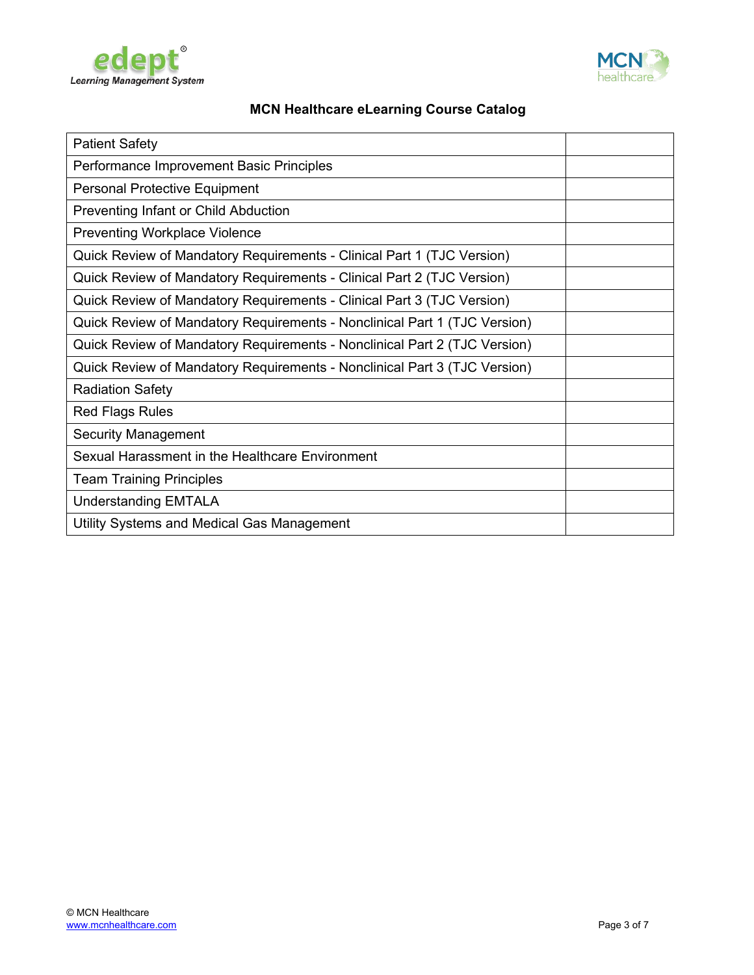



| <b>Patient Safety</b>                                                     |  |
|---------------------------------------------------------------------------|--|
| Performance Improvement Basic Principles                                  |  |
| <b>Personal Protective Equipment</b>                                      |  |
| Preventing Infant or Child Abduction                                      |  |
| <b>Preventing Workplace Violence</b>                                      |  |
| Quick Review of Mandatory Requirements - Clinical Part 1 (TJC Version)    |  |
| Quick Review of Mandatory Requirements - Clinical Part 2 (TJC Version)    |  |
| Quick Review of Mandatory Requirements - Clinical Part 3 (TJC Version)    |  |
| Quick Review of Mandatory Requirements - Nonclinical Part 1 (TJC Version) |  |
| Quick Review of Mandatory Requirements - Nonclinical Part 2 (TJC Version) |  |
| Quick Review of Mandatory Requirements - Nonclinical Part 3 (TJC Version) |  |
| <b>Radiation Safety</b>                                                   |  |
| <b>Red Flags Rules</b>                                                    |  |
| <b>Security Management</b>                                                |  |
| Sexual Harassment in the Healthcare Environment                           |  |
| <b>Team Training Principles</b>                                           |  |
| <b>Understanding EMTALA</b>                                               |  |
| Utility Systems and Medical Gas Management                                |  |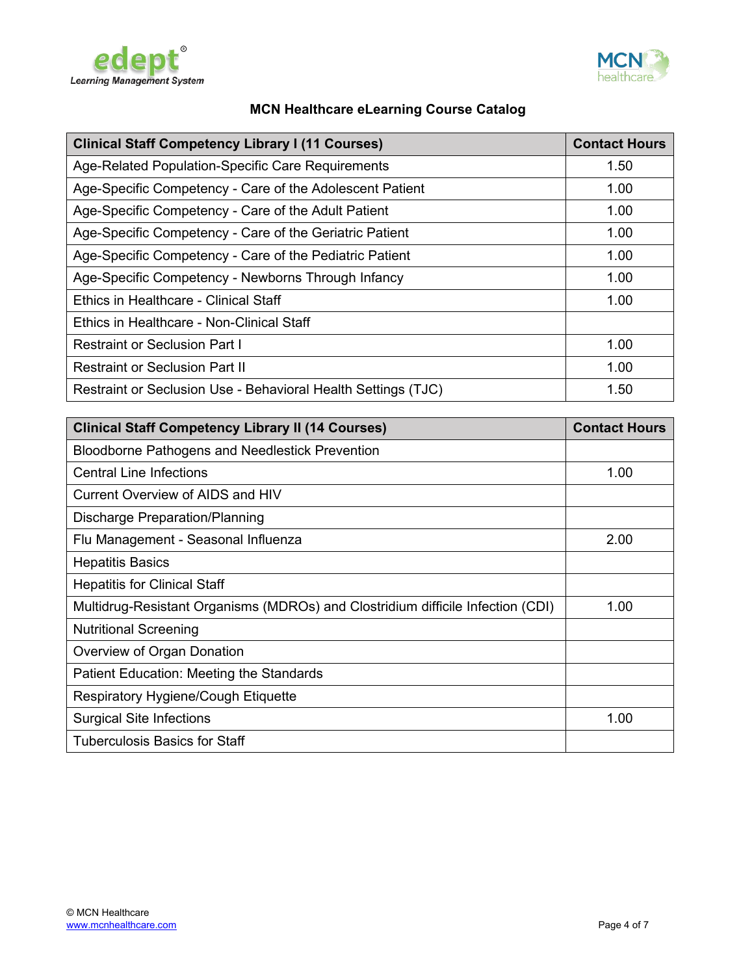



<span id="page-3-1"></span>

| <b>Clinical Staff Competency Library I (11 Courses)</b>       | <b>Contact Hours</b> |
|---------------------------------------------------------------|----------------------|
| Age-Related Population-Specific Care Requirements             | 1.50                 |
| Age-Specific Competency - Care of the Adolescent Patient      | 1.00                 |
| Age-Specific Competency - Care of the Adult Patient           | 1.00                 |
| Age-Specific Competency - Care of the Geriatric Patient       | 1.00                 |
| Age-Specific Competency - Care of the Pediatric Patient       | 1.00                 |
| Age-Specific Competency - Newborns Through Infancy            | 1.00                 |
| Ethics in Healthcare - Clinical Staff                         | 1.00                 |
| Ethics in Healthcare - Non-Clinical Staff                     |                      |
| <b>Restraint or Seclusion Part I</b>                          | 1.00                 |
| <b>Restraint or Seclusion Part II</b>                         | 1.00                 |
| Restraint or Seclusion Use - Behavioral Health Settings (TJC) | 1.50                 |

<span id="page-3-0"></span>

| <b>Clinical Staff Competency Library II (14 Courses)</b>                        | <b>Contact Hours</b> |
|---------------------------------------------------------------------------------|----------------------|
| <b>Bloodborne Pathogens and Needlestick Prevention</b>                          |                      |
| <b>Central Line Infections</b>                                                  | 1.00                 |
| Current Overview of AIDS and HIV                                                |                      |
| Discharge Preparation/Planning                                                  |                      |
| Flu Management - Seasonal Influenza                                             | 2.00                 |
| <b>Hepatitis Basics</b>                                                         |                      |
| <b>Hepatitis for Clinical Staff</b>                                             |                      |
| Multidrug-Resistant Organisms (MDROs) and Clostridium difficile Infection (CDI) | 1.00                 |
| <b>Nutritional Screening</b>                                                    |                      |
| Overview of Organ Donation                                                      |                      |
| Patient Education: Meeting the Standards                                        |                      |
| Respiratory Hygiene/Cough Etiquette                                             |                      |
| <b>Surgical Site Infections</b>                                                 | 1.00                 |
| <b>Tuberculosis Basics for Staff</b>                                            |                      |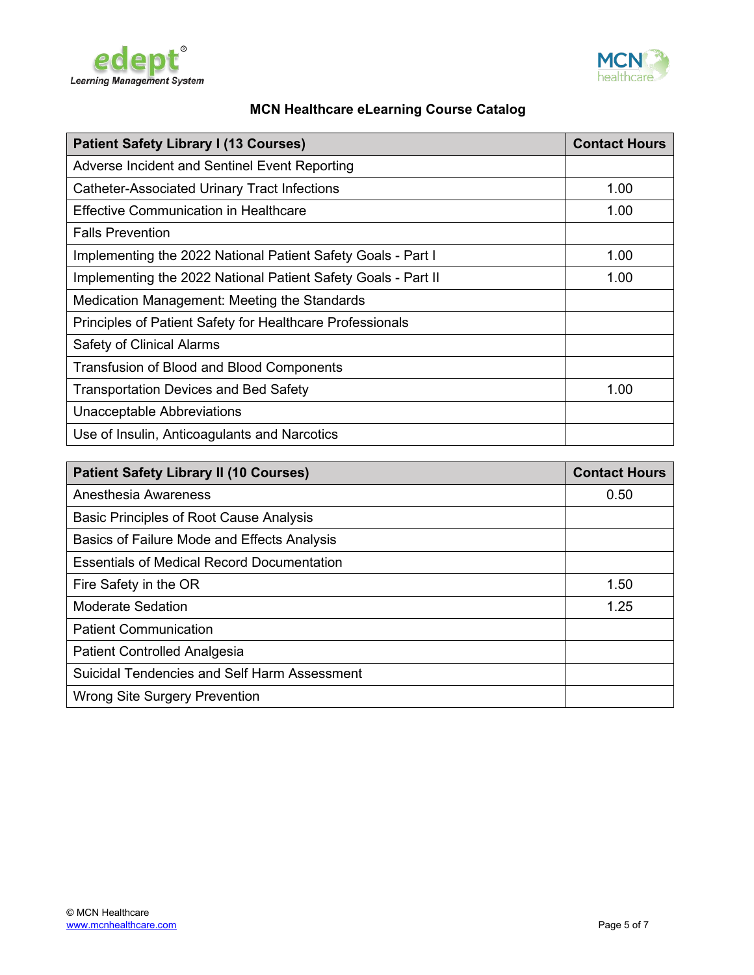



<span id="page-4-1"></span>

| <b>Patient Safety Library I (13 Courses)</b>                  | <b>Contact Hours</b> |
|---------------------------------------------------------------|----------------------|
| Adverse Incident and Sentinel Event Reporting                 |                      |
| <b>Catheter-Associated Urinary Tract Infections</b>           | 1.00                 |
| <b>Effective Communication in Healthcare</b>                  | 1.00                 |
| <b>Falls Prevention</b>                                       |                      |
| Implementing the 2022 National Patient Safety Goals - Part I  | 1.00                 |
| Implementing the 2022 National Patient Safety Goals - Part II | 1.00                 |
| Medication Management: Meeting the Standards                  |                      |
| Principles of Patient Safety for Healthcare Professionals     |                      |
| Safety of Clinical Alarms                                     |                      |
| <b>Transfusion of Blood and Blood Components</b>              |                      |
| <b>Transportation Devices and Bed Safety</b>                  | 1.00                 |
| Unacceptable Abbreviations                                    |                      |
| Use of Insulin, Anticoagulants and Narcotics                  |                      |

<span id="page-4-0"></span>

| <b>Patient Safety Library II (10 Courses)</b>       | <b>Contact Hours</b> |
|-----------------------------------------------------|----------------------|
| Anesthesia Awareness                                | 0.50                 |
| <b>Basic Principles of Root Cause Analysis</b>      |                      |
| Basics of Failure Mode and Effects Analysis         |                      |
| <b>Essentials of Medical Record Documentation</b>   |                      |
| Fire Safety in the OR                               | 1.50                 |
| Moderate Sedation                                   | 1.25                 |
| <b>Patient Communication</b>                        |                      |
| <b>Patient Controlled Analgesia</b>                 |                      |
| <b>Suicidal Tendencies and Self Harm Assessment</b> |                      |
| <b>Wrong Site Surgery Prevention</b>                |                      |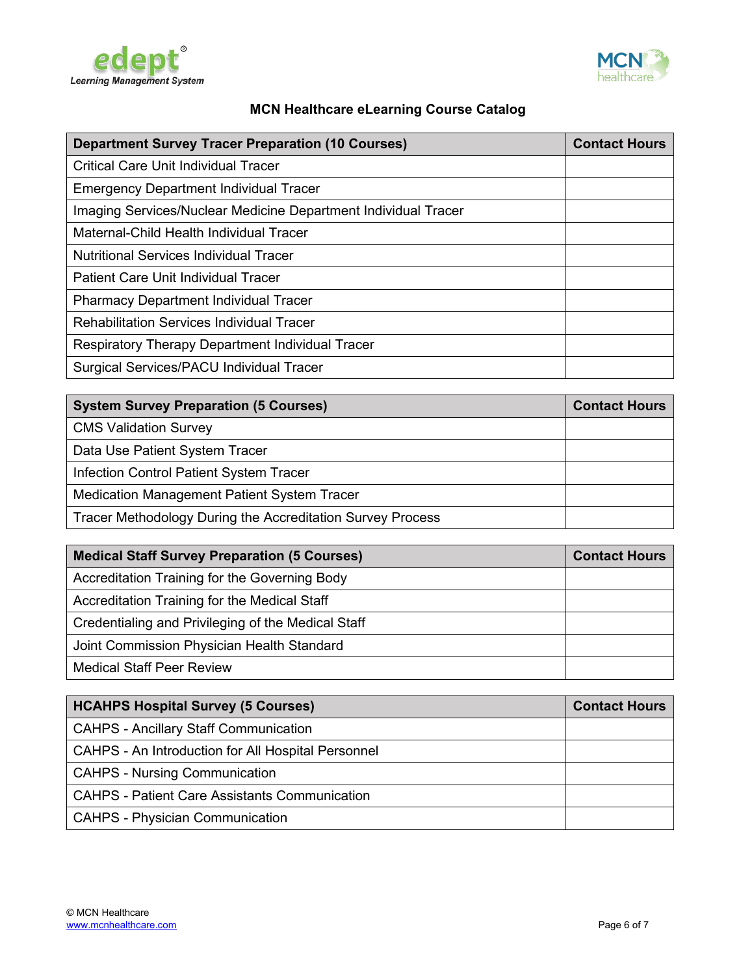



<span id="page-5-3"></span>

| <b>Department Survey Tracer Preparation (10 Courses)</b>       | <b>Contact Hours</b> |
|----------------------------------------------------------------|----------------------|
| <b>Critical Care Unit Individual Tracer</b>                    |                      |
| <b>Emergency Department Individual Tracer</b>                  |                      |
| Imaging Services/Nuclear Medicine Department Individual Tracer |                      |
| Maternal-Child Health Individual Tracer                        |                      |
| <b>Nutritional Services Individual Tracer</b>                  |                      |
| <b>Patient Care Unit Individual Tracer</b>                     |                      |
| <b>Pharmacy Department Individual Tracer</b>                   |                      |
| <b>Rehabilitation Services Individual Tracer</b>               |                      |
| Respiratory Therapy Department Individual Tracer               |                      |
| Surgical Services/PACU Individual Tracer                       |                      |

<span id="page-5-2"></span>

| <b>System Survey Preparation (5 Courses)</b>               | <b>Contact Hours</b> |
|------------------------------------------------------------|----------------------|
| <b>CMS Validation Survey</b>                               |                      |
| Data Use Patient System Tracer                             |                      |
| <b>Infection Control Patient System Tracer</b>             |                      |
| Medication Management Patient System Tracer                |                      |
| Tracer Methodology During the Accreditation Survey Process |                      |

<span id="page-5-1"></span>

| <b>Medical Staff Survey Preparation (5 Courses)</b> | <b>Contact Hours</b> |
|-----------------------------------------------------|----------------------|
| Accreditation Training for the Governing Body       |                      |
| Accreditation Training for the Medical Staff        |                      |
| Credentialing and Privileging of the Medical Staff  |                      |
| Joint Commission Physician Health Standard          |                      |
| <b>Medical Staff Peer Review</b>                    |                      |

<span id="page-5-0"></span>

| <b>HCAHPS Hospital Survey (5 Courses)</b>            | <b>Contact Hours</b> |
|------------------------------------------------------|----------------------|
| <b>CAHPS - Ancillary Staff Communication</b>         |                      |
| CAHPS - An Introduction for All Hospital Personnel   |                      |
| <b>CAHPS - Nursing Communication</b>                 |                      |
| <b>CAHPS - Patient Care Assistants Communication</b> |                      |
| CAHPS - Physician Communication                      |                      |